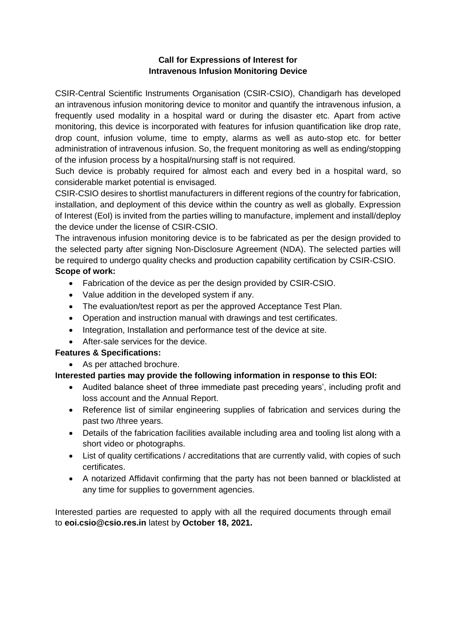### **Call for Expressions of Interest for Intravenous Infusion Monitoring Device**

CSIR-Central Scientific Instruments Organisation (CSIR-CSIO), Chandigarh has developed an intravenous infusion monitoring device to monitor and quantify the intravenous infusion, a frequently used modality in a hospital ward or during the disaster etc. Apart from active monitoring, this device is incorporated with features for infusion quantification like drop rate, drop count, infusion volume, time to empty, alarms as well as auto-stop etc. for better administration of intravenous infusion. So, the frequent monitoring as well as ending/stopping of the infusion process by a hospital/nursing staff is not required.

Such device is probably required for almost each and every bed in a hospital ward, so considerable market potential is envisaged.

CSIR-CSIO desires to shortlist manufacturers in different regions of the country for fabrication, installation, and deployment of this device within the country as well as globally. Expression of Interest (EoI) is invited from the parties willing to manufacture, implement and install/deploy the device under the license of CSIR-CSIO.

The intravenous infusion monitoring device is to be fabricated as per the design provided to the selected party after signing Non-Disclosure Agreement (NDA). The selected parties will be required to undergo quality checks and production capability certification by CSIR-CSIO.

## **Scope of work:**

- Fabrication of the device as per the design provided by CSIR-CSIO.
- Value addition in the developed system if any.
- The evaluation/test report as per the approved Acceptance Test Plan.
- Operation and instruction manual with drawings and test certificates.
- Integration, Installation and performance test of the device at site.
- After-sale services for the device.

### **Features & Specifications:**

• As per attached brochure.

### **Interested parties may provide the following information in response to this EOI:**

- Audited balance sheet of three immediate past preceding years', including profit and loss account and the Annual Report.
- Reference list of similar engineering supplies of fabrication and services during the past two /three years.
- Details of the fabrication facilities available including area and tooling list along with a short video or photographs.
- List of quality certifications / accreditations that are currently valid, with copies of such certificates.
- A notarized Affidavit confirming that the party has not been banned or blacklisted at any time for supplies to government agencies.

Interested parties are requested to apply with all the required documents through email to **eoi.csio@csio.res.in** latest by **October 18, 2021.**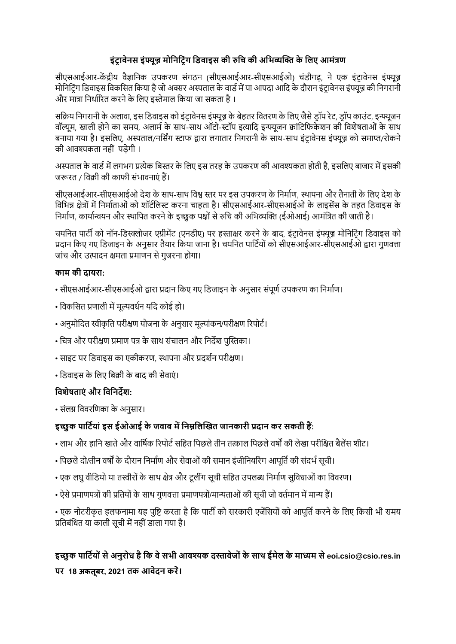## **इंट्र ावेनस इंफ्यूज्न मोनननट्रंग निवाइस की रुनि की अनिव्यक्ति के निए आमंत्रण**

सीएसआईआर-केंद्रीय वैज्ञानिक उपकरण संगठन (सीएसआईआर-सीएसआईओ) चंडीगढ़, ने एक इंटावेनस इंफ्यूज्न मोनिटिंग डिवाइस विकसित किया है जो अक्सर अस्पताल के वार्ड में या आपदा आदि के दौरान इंटावेनस इंफ्यूज्न की निगरानी और मात्रा निर्धारित करने के लिए इस्तेमाल किया जा सकता है ।

सक्रिय निगरानी के अलावा, इस डिवाइस को इंटावेनस इंफ्यूज्र के बेहतर वितरण के लिए जैसे डॉप रेट, डॉप काउंट, इन्फ्यूजन वॉल्यूम, खाली होने का समय, अलार्म के साथ-साथ ऑटो-स्टॉप इत्यादि इन्फ्यूजन क्वांटिफिकेशन की विशेषताओं के साथ बनाया गया है। इसलिए, अस्पताल/नर्सिंग स्टाफ द्वारा लगातार निगरानी के साथ-साथ इंट्रावेनस इंफ्यूज्न को समाप्त/रोकने की आवश्यकता नहीं पड़ेगी ।

अस्पताल के वार्ड में लगभग प्रत्येक बिस्तर के लिए इस तरह के उपकरण की आवश्यकता होती है, इसलिए बाजार में इसकी जरूरत / विक्री की काफी संभावनाएं हैं।

सीएसआईआर-सीएसआईओ देश के साथ-साथ विश्व स्तर पर इस उपकरण के निर्माण, स्थापना और तैनाती के लिए देश के विभिन्न क्षेत्रों में निर्माताओं को शॉर्टलिस्ट करना चाहता है। सीएसआईआर-सीएसआईओ के लाइसेंस के तहत डिवाइस के निर्माण, कार्यान्वयन और स्थापित करने के इच्छुक पक्षों से रुचि की अभिव्यक्ति (ईओआई) आमंत्रित की जाती है।

चयनित पार्टी को नॉन-डिस्क्लोजर एग्रीमेंट (एनडीए) पर हस्ताक्षर करने के बाद, इंट्रावेनस इंफ्यूज्न मोनिटिंग डिवाइस को प्रदान किए गए डिजाइन के अनुसार तैयार किया जाना है। चयनित पार्टियों को सीएसआईआर-सीएसआईओ द्वारा गुणवत्ता जांच और उत्पादन क्षमता प्रमाणन से गुजरना होगा।

### **काम की दायरा:**

- सीएसआईआर-सीएसआईओ द्वारा प्रदान किए गए डिजाइन के अनुसार संपूर्ण उपकरण का निर्माण।
- विकसित प्रणाली में मुल्यवर्धन यदि कोई हो।
- अनुमोदित स्वीकृति परीक्षण योजना के अनुसार मूल्यांकन/परीक्षण रिपोर्ट।
- चित्र और परीक्षण प्रमाण पत्र के साथ संचालन और निर्देश पुस्तिका।
- साइट पर डिवाइस का एकीकरण, स्थापना और प्रदर्शन परीक्षण।
- डिवाइस के लिए बिक्री के बाद की सेवाएं।

## **नवशेषताएं और नवननदेश:**

• संलग्न विवरणिका के अनसार।

## **इच्छु क पानट्ियां इस ईओआई के जवाब मेंननम्ननिक्तित जानकारी प्रदान कर सकती हैं:**

- लाभ और हानि खाते और वार्षिक रिपोर्ट सहित पिछले तीन तत्काल पिछले वर्षों की लेखा परीक्षित बैलेंस शीट्।
- पिछले दो/तीन वर्षों के दौरान निर्माण और सेवाओं की समान इंजीनियरिंग आपूर्ति की संदर्भ सूची।
- एक लघु वीडियो या तस्वीरों के साथ क्षेत्र और टूलींग सूची सहित उपलब्ध निर्माण सुविधाओं का विवरण।
- ऐसे प्रमाणपत्रों की प्रतियों के साथ गुणवत्ता प्रमाणपत्रों/मान्यताओं की सूची जो वर्तमान में मान्य हैं।

• एक नोटरीकृत हलफनामा यह पृष्टि करता है कि पार्टी को सरकारी एजेंसियों को आपूर्ति करने के लिए किसी भी समय प्रतिबंधित या काली सूची में नहीं डाला गया है।

# **इच्छु क पानट्ियोंसेअनुरोध हैनक वेसिी आवश्यक दस्तावेजोंके साथ ईमेि के माध्यम सेeoi.csio@csio.res.in पर 18 अकतबर ू , 2021 तक आवेदन करें।**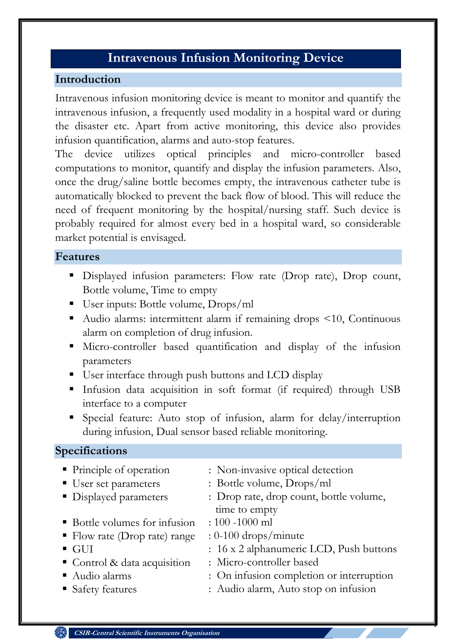# **Intravenous Infusion Monitoring Device**

## **Introduction**

Intravenous infusion monitoring device is meant to monitor and quantify the intravenous infusion, a frequently used modality in a hospital ward or during the disaster etc. Apart from active monitoring, this device also provides infusion quantification, alarms and auto-stop features.

The device utilizes optical principles and micro-controller based computations to monitor, quantify and display the infusion parameters. Also, once the drug/saline bottle becomes empty, the intravenous catheter tube is automatically blocked to prevent the back flow of blood. This will reduce the need of frequent monitoring by the hospital/nursing staff. Such device is probably required for almost every bed in a hospital ward, so considerable market potential is envisaged.

## **Features**

- Displayed infusion parameters: Flow rate (Drop rate), Drop count, Bottle volume, Time to empty
- User inputs: Bottle volume, Drops/ml
- Audio alarms: intermittent alarm if remaining drops <10, Continuous alarm on completion of drug infusion.
- Micro-controller based quantification and display of the infusion parameters
- User interface through push buttons and LCD display
- Infusion data acquisition in soft format (if required) through USB interface to a computer
- Special feature: Auto stop of infusion, alarm for delay/interruption during infusion, Dual sensor based reliable monitoring.

## **Specifications**

- Principle of operation : Non-invasive optical detection
- User set parameters : Bottle volume, Drops/ml
- Displayed parameters : Drop rate, drop count, bottle volume, time to empty
- Bottle volumes for infusion : 100 -1000 ml
- Flow rate (Drop rate) range  $: 0\n-100$  drops/minute
- GUI : 16 x 2 alphanumeric LCD, Push buttons
- Control & data acquisition : Micro-controller based
- 
- 
- Audio alarms : On infusion completion or interruption

1

■ Safety features : Audio alarm, Auto stop on infusion